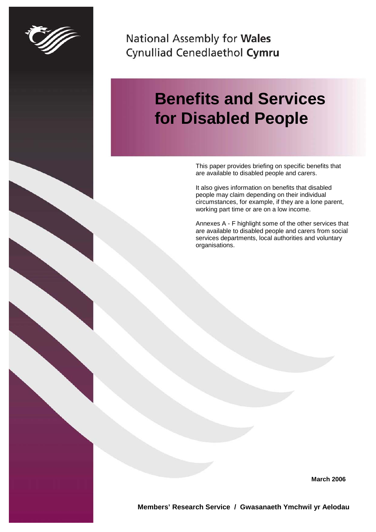

National Assembly for Wales Cynulliad Cenedlaethol Cymru

# **Benefits and Services for Disabled People**

This paper provides briefing on specific benefits that are available to disabled people and carers.

It also gives information on benefits that disabled people may claim depending on their individual circumstances, for example, if they are a lone parent, working part time or are on a low income.

Annexes A - F highlight some of the other services that are available to disabled people and carers from social services departments, local authorities and voluntary organisations.

**March 2006**

**Members' Research Service / Gwasanaeth Ymchwil yr Aelodau**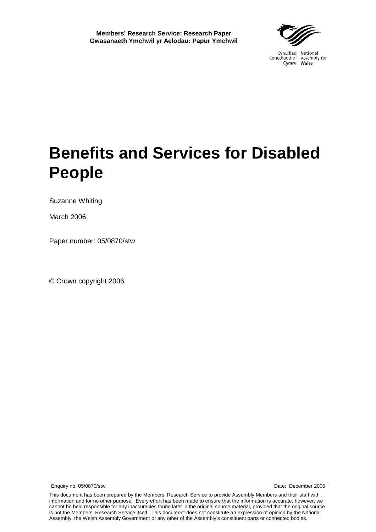

Cynulliad National Cenedlaethol Assembly for

# **Benefits and Services for Disabled People**

Suzanne Whiting

March 2006

Paper number: 05/0870/stw

© Crown copyright 2006

Enquiry no: 05/0870/stw Date: December 2005

This document has been prepared by the Members' Research Service to provide Assembly Members and their staff with information and for no other purpose. Every effort has been made to ensure that the information is accurate, however, we cannot be held responsible for any inaccuracies found later in the original source material, provided that the original source is not the Members' Research Service itself. This document does not constitute an expression of opinion by the National Assembly, the Welsh Assembly Government or any other of the Assembly's constituent parts or connected bodies.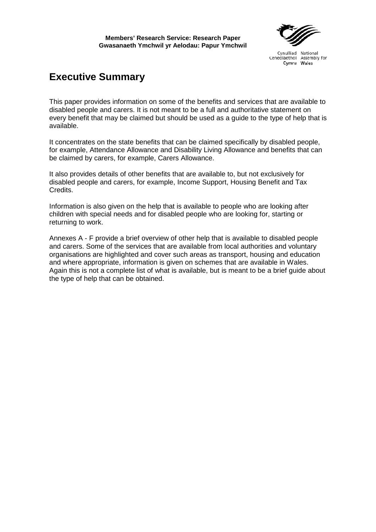# **Executive Summary**

This paper provides information on some of the benefits and services that are available to disabled people and carers. It is not meant to be a full and authoritative statement on every benefit that may be claimed but should be used as a guide to the type of help that is available.

It concentrates on the state benefits that can be claimed specifically by disabled people, for example, Attendance Allowance and Disability Living Allowance and benefits that can be claimed by carers, for example, Carers Allowance.

It also provides details of other benefits that are available to, but not exclusively for disabled people and carers, for example, Income Support, Housing Benefit and Tax Credits.

Information is also given on the help that is available to people who are looking after children with special needs and for disabled people who are looking for, starting or returning to work.

Annexes A - F provide a brief overview of other help that is available to disabled people and carers. Some of the services that are available from local authorities and voluntary organisations are highlighted and cover such areas as transport, housing and education and where appropriate, information is given on schemes that are available in Wales. Again this is not a complete list of what is available, but is meant to be a brief guide about the type of help that can be obtained.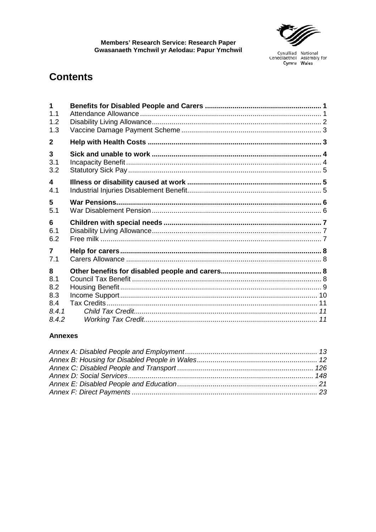

## **Contents**

| $\mathbf{1}$<br>1.1<br>1.2 |  |
|----------------------------|--|
| 1.3                        |  |
| $\mathbf{2}$               |  |
| 3                          |  |
| 3.1                        |  |
| 3.2                        |  |
| $\overline{\mathbf{4}}$    |  |
| 4.1                        |  |
| 5                          |  |
| 5.1                        |  |
| 6                          |  |
| 6.1                        |  |
| 6.2                        |  |
| $\overline{7}$             |  |
| 7.1                        |  |
| 8                          |  |
| 8.1                        |  |
| 8.2                        |  |
| 8.3                        |  |
| 8.4                        |  |
| 8.4.1                      |  |
| 8.4.2                      |  |

#### **Annexes**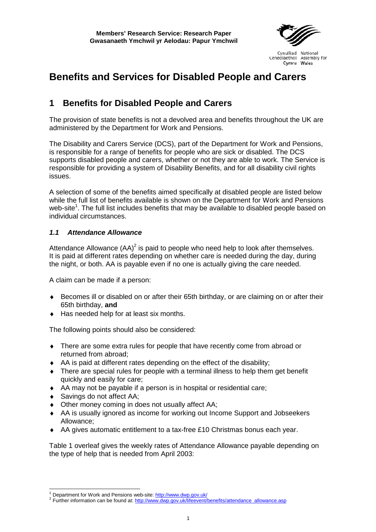

## **Benefits and Services for Disabled People and Carers**

## <span id="page-8-0"></span>**1 Benefits for Disabled People and Carers**

The provision of state benefits is not a devolved area and benefits throughout the UK are administered by the Department for Work and Pensions.

The Disability and Carers Service (DCS), part of the Department for Work and Pensions, is responsible for a range of benefits for people who are sick or disabled. The DCS supports disabled people and carers, whether or not they are able to work. The Service is responsible for providing a system of Disability Benefits, and for all disability civil rights issues.

A selection of some of the benefits aimed specifically at disabled people are listed below while the full list of benefits available is shown on the Department for Work and Pensions web-site<sup>[1](#page-8-2)</sup>. The full list includes benefits that may be available to disabled people based on individual circumstances.

#### <span id="page-8-1"></span>*1.1 Attendance Allowance*

Attendance Allowance  $(AA)^2$  $(AA)^2$  is paid to people who need help to look after themselves. It is paid at different rates depending on whether care is needed during the day, during the night, or both. AA is payable even if no one is actually giving the care needed.

A claim can be made if a person:

- ♦ Becomes ill or disabled on or after their 65th birthday, or are claiming on or after their 65th birthday, **and**
- ♦ Has needed help for at least six months.

The following points should also be considered:

- ♦ There are some extra rules for people that have recently come from abroad or returned from abroad;
- ♦ AA is paid at different rates depending on the effect of the disability;
- $\bullet$  There are special rules for people with a terminal illness to help them get benefit quickly and easily for care;
- ♦ AA may not be payable if a person is in hospital or residential care;
- ♦ Savings do not affect AA;
- ♦ Other money coming in does not usually affect AA;
- ♦ AA is usually ignored as income for working out Income Support and Jobseekers Allowance;
- ♦ AA gives automatic entitlement to a tax-free £10 Christmas bonus each year.

Table 1 overleaf gives the weekly rates of Attendance Allowance payable depending on the type of help that is needed from April 2003:

<span id="page-8-3"></span><span id="page-8-2"></span><sup>&</sup>lt;sup>1</sup> Department for Work and Pensions web-site: <http://www.dwp.gov.uk/><br><sup>2</sup> Further information can be found at: [http://www.dwp.gov.uk/lifeevent/benefits/attendance\\_allowance.asp](http://www.dwp.gov.uk/lifeevent/benefits/attendance_allowance.asp)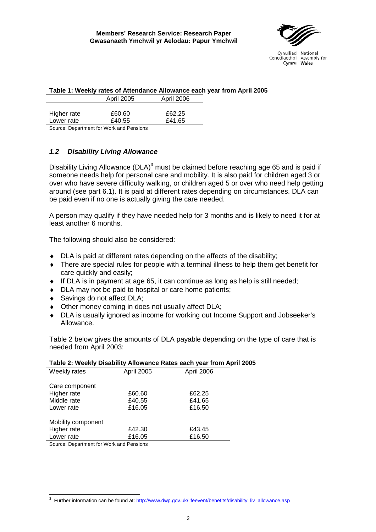

|             |                   | Table 1: Weekly rates of Attendance Allowance each year from A |  |
|-------------|-------------------|----------------------------------------------------------------|--|
|             | <b>April 2005</b> | April 2006                                                     |  |
|             |                   |                                                                |  |
| Higher rate | £60.60            | £62.25                                                         |  |
| Lower rate  | £40.55            | £41.65                                                         |  |

**Table 1: Weekly rates of Attendance Allowance each year from April 2005**

Source: Department for Work and Pensions

#### <span id="page-9-0"></span>*1.2 Disability Living Allowance*

Disability Living Allowance (DLA)<sup>[3](#page-9-1)</sup> must be claimed before reaching age 65 and is paid if someone needs help for personal care and mobility. It is also paid for children aged 3 or over who have severe difficulty walking, or children aged 5 or over who need help getting around (see part 6.1). It is paid at different rates depending on circumstances. DLA can be paid even if no one is actually giving the care needed.

A person may qualify if they have needed help for 3 months and is likely to need it for at least another 6 months.

The following should also be considered:

- ♦ DLA is paid at different rates depending on the affects of the disability;
- ♦ There are special rules for people with a terminal illness to help them get benefit for care quickly and easily;
- ♦ If DLA is in payment at age 65, it can continue as long as help is still needed;
- ♦ DLA may not be paid to hospital or care home patients;
- ♦ Savings do not affect DLA;
- ♦ Other money coming in does not usually affect DLA;
- ♦ DLA is usually ignored as income for working out Income Support and Jobseeker's Allowance.

Table 2 below gives the amounts of DLA payable depending on the type of care that is needed from April 2003:

|                    |                   | $\frac{1}{2}$ and $\frac{1}{2}$ . The state in the state of the state of the state of the state $\frac{1}{2}$ , $\frac{1}{2}$ , $\frac{1}{2}$ , $\frac{1}{2}$ , $\frac{1}{2}$ , $\frac{1}{2}$ , $\frac{1}{2}$ , $\frac{1}{2}$ , $\frac{1}{2}$ , $\frac{1}{2}$ , $\frac{1}{2}$ , |
|--------------------|-------------------|---------------------------------------------------------------------------------------------------------------------------------------------------------------------------------------------------------------------------------------------------------------------------------|
| Weekly rates       | <b>April 2005</b> | April 2006                                                                                                                                                                                                                                                                      |
|                    |                   |                                                                                                                                                                                                                                                                                 |
| Care component     |                   |                                                                                                                                                                                                                                                                                 |
| Higher rate        | £60.60            | £62.25                                                                                                                                                                                                                                                                          |
| Middle rate        | £40.55            | £41.65                                                                                                                                                                                                                                                                          |
| Lower rate         | £16.05            | £16.50                                                                                                                                                                                                                                                                          |
|                    |                   |                                                                                                                                                                                                                                                                                 |
| Mobility component |                   |                                                                                                                                                                                                                                                                                 |
| Higher rate        | £42.30            | £43.45                                                                                                                                                                                                                                                                          |
| Lower rate         | £16.05            | £16.50                                                                                                                                                                                                                                                                          |
|                    |                   |                                                                                                                                                                                                                                                                                 |

**Table 2: Weekly Disability Allowance Rates each year from April 2005**

Source: Department for Work and Pensions

<span id="page-9-1"></span><sup>&</sup>lt;sup>3</sup> Further information can be found at: [http://www.dwp.gov.uk/lifeevent/benefits/disability\\_liv\\_allowance.asp](http://www.dwp.gov.uk/lifeevent/benefits/disability_liv_allowance.asp)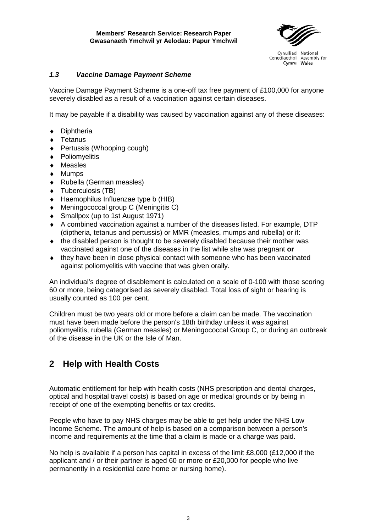

#### <span id="page-10-0"></span>*1.3 Vaccine Damage Payment Scheme*

Vaccine Damage Payment Scheme is a one-off tax free payment of £100,000 for anyone severely disabled as a result of a vaccination against certain diseases.

It may be payable if a disability was caused by vaccination against any of these diseases:

- ♦ Diphtheria
- ♦ Tetanus
- ♦ Pertussis (Whooping cough)
- ♦ Poliomyelitis
- ♦ Measles
- ♦ Mumps
- ♦ Rubella (German measles)
- ♦ Tuberculosis (TB)
- ♦ Haemophilus Influenzae type b (HIB)
- ♦ Meningococcal group C (Meningitis C)
- ♦ Smallpox (up to 1st August 1971)
- ♦ A combined vaccination against a number of the diseases listed. For example, DTP (diptheria, tetanus and pertussis) or MMR (measles, mumps and rubella) or if:
- $\bullet$  the disabled person is thought to be severely disabled because their mother was vaccinated against one of the diseases in the list while she was pregnant **or**
- ♦ they have been in close physical contact with someone who has been vaccinated against poliomyelitis with vaccine that was given orally.

An individual's degree of disablement is calculated on a scale of 0-100 with those scoring 60 or more, being categorised as severely disabled. Total loss of sight or hearing is usually counted as 100 per cent.

Children must be two years old or more before a claim can be made. The vaccination must have been made before the person's 18th birthday unless it was against poliomyelitis, rubella (German measles) or Meningococcal Group C, or during an outbreak of the disease in the UK or the Isle of Man.

## <span id="page-10-1"></span>**2 Help with Health Costs**

Automatic entitlement for help with health costs (NHS prescription and dental charges, optical and hospital travel costs) is based on age or medical grounds or by being in receipt of one of the exempting benefits or tax credits.

People who have to pay NHS charges may be able to get help under the NHS Low Income Scheme. The amount of help is based on a comparison between a person's income and requirements at the time that a claim is made or a charge was paid.

No help is available if a person has capital in excess of the limit £8,000 (£12,000 if the applicant and / or their partner is aged 60 or more or £20,000 for people who live permanently in a residential care home or nursing home).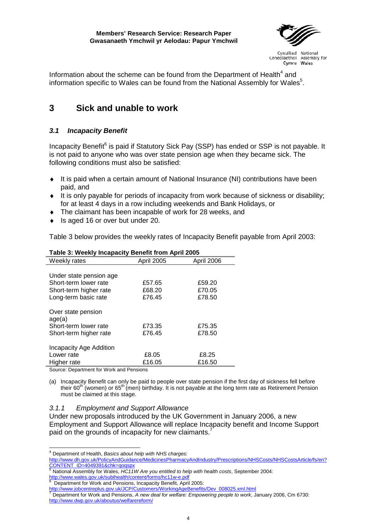

Information about the scheme can be found from the Department of Health $^4$  $^4$  and information specific to Wales can be found from the National Assembly for Wales $5$ .

## <span id="page-11-0"></span>**3 Sick and unable to work**

#### <span id="page-11-1"></span>*3.1 Incapacity Benefit*

Incapacity Benefit<sup>[6](#page-11-4)</sup> is paid if Statutory Sick Pay (SSP) has ended or SSP is not payable. It is not paid to anyone who was over state pension age when they became sick. The following conditions must also be satisfied:

- ♦ It is paid when a certain amount of National Insurance (NI) contributions have been paid, and
- ♦ It is only payable for periods of incapacity from work because of sickness or disability; for at least 4 days in a row including weekends and Bank Holidays, or
- ♦ The claimant has been incapable of work for 28 weeks, and
- Is aged 16 or over but under 20.

Table 3 below provides the weekly rates of Incapacity Benefit payable from April 2003:

| Weekly rates                 | April 2005 | April 2006 |
|------------------------------|------------|------------|
|                              |            |            |
| Under state pension age      |            |            |
| Short-term lower rate        | £57.65     | £59.20     |
| Short-term higher rate       | £68.20     | £70.05     |
| Long-term basic rate         | £76.45     | £78.50     |
| Over state pension<br>age(a) |            |            |
| Short-term lower rate        | £73.35     | £75.35     |
| Short-term higher rate       | £76.45     | £78.50     |
| Incapacity Age Addition      |            |            |
| Lower rate                   | £8.05      | £8.25      |
| Higher rate                  | £16.05     | £16.50     |
|                              |            |            |

#### **Table 3: Weekly Incapacity Benefit from April 2005**

Source: Department for Work and Pensions

(a) Incapacity Benefit can only be paid to people over state pension if the first day of sickness fell before their 60<sup>th</sup> (women) or 65<sup>th</sup> (men) birthday. It is not payable at the long term rate as Retirement Pension must be claimed at this stage.

#### *3.1.1 Employment and Support Allowance*

Under new proposals introduced by the UK Government in January 2006, a new Employment and Support Allowance will replace Incapacity benefit and Income Support paid on the grounds of incapacity for new claimants.

 <sup>4</sup> Department of Health, *Basics about help with NHS charges:*

<span id="page-11-2"></span><http://www.dh.gov.uk/PolicyAndGuidance/MedicinesPharmacyAndIndustry/Prescriptions/NHSCosts/NHSCostsArticle/fs/en?> CONTENT\_ID=4049391&chk=qoqspx

<span id="page-11-3"></span><sup>5</sup> National Assembly for Wales, *HC11W Are you entitled to help with health costs*, September 2004: <http://www.wales.gov.uk/subihealth/content/forms/hc11w-e.pdf><br>
6 Department for Work and Pensions, Incapacity Benefit, April 2005:<br>
http://www.jobcentreplus.gov.uk/JCP/Customers/WorkingAgeBenefits/Dev 008025.xml.html

<span id="page-11-4"></span>

<span id="page-11-5"></span>

[http://www.jobcentreplus.gov.uk/JCP/Customers/WorkingAgeBenefits/Dev\\_008025.xml.html](http://www.jobcentreplus.gov.uk/JCP/Customers/WorkingAgeBenefits/Dev_008025.xml.html) <sup>7</sup> Department for Work and Pensions, *A new deal for welfare: Empowering people to work*, January 2006, Cm 6730: <http://www.dwp.gov.uk/aboutus/welfarereform/>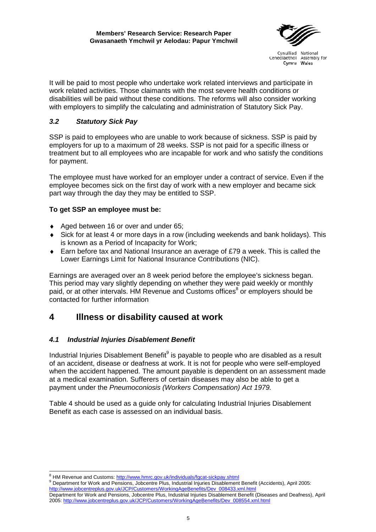

It will be paid to most people who undertake work related interviews and participate in work related activities. Those claimants with the most severe health conditions or disabilities will be paid without these conditions. The reforms will also consider working with employers to simplify the calculating and administration of Statutory Sick Pay.

#### <span id="page-12-0"></span>*3.2 Statutory Sick Pay*

SSP is paid to employees who are unable to work because of sickness. SSP is paid by employers for up to a maximum of 28 weeks. SSP is not paid for a specific illness or treatment but to all employees who are incapable for work and who satisfy the conditions for payment.

The employee must have worked for an employer under a contract of service. Even if the employee becomes sick on the first day of work with a new employer and became sick part way through the day they may be entitled to SSP.

#### **To get SSP an employee must be:**

- ♦ Aged between 16 or over and under 65;
- ♦ Sick for at least 4 or more days in a row (including weekends and bank holidays). This is known as a Period of Incapacity for Work;
- $\bullet$  Earn before tax and National Insurance an average of £79 a week. This is called the Lower Earnings Limit for National Insurance Contributions (NIC).

Earnings are averaged over an 8 week period before the employee's sickness began. This period may vary slightly depending on whether they were paid weekly or monthly paid, or at other intervals. HM Revenue and Customs offices<sup>[8](#page-12-3)</sup> or employers should be contacted for further information

## <span id="page-12-1"></span>**4 Illness or disability caused at work**

#### <span id="page-12-2"></span>*4.1 Industrial Injuries Disablement Benefit*

Industrial Injuries Disablement Benefit<sup>[9](#page-12-4)</sup> is payable to people who are disabled as a result of an accident, disease or deafness at work. It is not for people who were self-employed when the accident happened. The amount payable is dependent on an assessment made at a medical examination. Sufferers of certain diseases may also be able to get a payment under the *Pneumoconiosis (Workers Compensation) Act 1979.*

Table 4 should be used as a guide only for calculating Industrial Injuries Disablement Benefit as each case is assessed on an individual basis.

<span id="page-12-4"></span><span id="page-12-3"></span><sup>&</sup>lt;sup>8</sup> HM Revenue and Customs: <u>http://www.hmrc.gov.uk/individuals/fgcat-sickpay.shtml</u><br><sup>9</sup> Department for Work and Pensions, Jobcentre Plus, Industrial Injuries Disablement Benefit (Accidents), April 2005: http://www.jobcentreplus.gov.uk/JCP/Customers/WorkingAgeBenefits/Dev\_008433.xml.htm

Department for Work and Pensions, Jobcentre Plus, Industrial Injuries Disablement Benefit (Diseases and Deafness), April 2005: [http://www.jobcentreplus.gov.uk/JCP/Customers/WorkingAgeBenefits/Dev\\_008554.xml.html](http://www.jobcentreplus.gov.uk/JCP/Customers/WorkingAgeBenefits/Dev_008554.xml.html)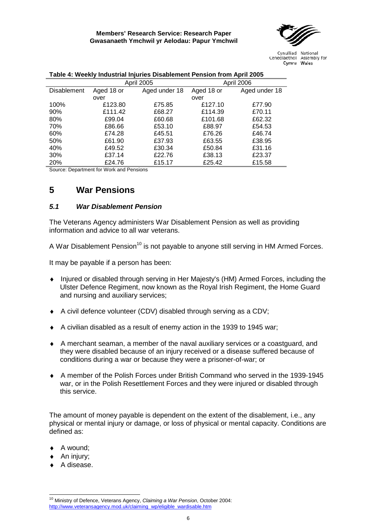

|                    |            | <b>April 2005</b> |            | April 2006    |
|--------------------|------------|-------------------|------------|---------------|
| <b>Disablement</b> | Aged 18 or | Aged under 18     | Aged 18 or | Aged under 18 |
|                    | over       |                   | over       |               |
| 100%               | £123.80    | £75.85            | £127.10    | £77.90        |
| 90%                | £111.42    | £68.27            | £114.39    | £70.11        |
| 80%                | £99.04     | £60.68            | £101.68    | £62.32        |
| 70%                | £86.66     | £53.10            | £88.97     | £54.53        |
| 60%                | £74.28     | £45.51            | £76.26     | £46.74        |
| 50%                | £61.90     | £37.93            | £63.55     | £38.95        |
| 40%                | £49.52     | £30.34            | £50.84     | £31.16        |
| 30%                | £37.14     | £22.76            | £38.13     | £23.37        |
| 20%                | £24.76     | £15.17            | £25.42     | £15.58        |

#### **Table 4: Weekly Industrial Injuries Disablement Pension from April 2005**

Source: Department for Work and Pensions

### <span id="page-13-0"></span>**5 War Pensions**

#### <span id="page-13-1"></span>*5.1 War Disablement Pension*

The Veterans Agency administers War Disablement Pension as well as providing information and advice to all war veterans.

A War Disablement Pension<sup>10</sup> is not payable to anyone still serving in HM Armed Forces.

It may be payable if a person has been:

- ♦ Injured or disabled through serving in Her Majesty's (HM) Armed Forces, including the Ulster Defence Regiment, now known as the Royal Irish Regiment, the Home Guard and nursing and auxiliary services;
- ♦ A civil defence volunteer (CDV) disabled through serving as a CDV;
- ♦ A civilian disabled as a result of enemy action in the 1939 to 1945 war;
- ♦ A merchant seaman, a member of the naval auxiliary services or a coastguard, and they were disabled because of an injury received or a disease suffered because of conditions during a war or because they were a prisoner-of-war; or
- ♦ A member of the Polish Forces under British Command who served in the 1939-1945 war, or in the Polish Resettlement Forces and they were injured or disabled through this service.

The amount of money payable is dependent on the extent of the disablement, i.e., any physical or mental injury or damage, or loss of physical or mental capacity. Conditions are defined as:

- ♦ A wound;
- ◆ An injury:
- ♦ A disease.

 $\overline{a}$ 

<span id="page-13-2"></span><sup>10</sup> Ministry of Defence, Veterans Agency, *Claiming a War Pension*, October 2004: [http://www.veteransagency.mod.uk/claiming\\_wp/eligible\\_wardisable.htm](http://www.veteransagency.mod.uk/claiming_wp/eligible_wardisable.htm)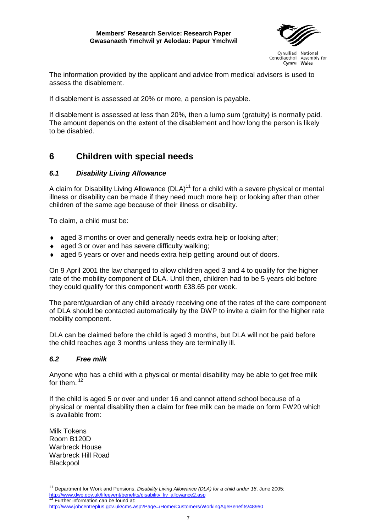#### **Members' Research Service: Research Paper Gwasanaeth Ymchwil yr Aelodau: Papur Ymchwil**



Cynulliad National Cenedlaethol Assembly for Cymru Wales

The information provided by the applicant and advice from medical advisers is used to assess the disablement.

If disablement is assessed at 20% or more, a pension is payable.

If disablement is assessed at less than 20%, then a lump sum (gratuity) is normally paid. The amount depends on the extent of the disablement and how long the person is likely to be disabled.

## <span id="page-14-0"></span>**6 Children with special needs**

#### <span id="page-14-1"></span>*6.1 Disability Living Allowance*

A claim for Disability Living Allowance  $(DLA)^{11}$  for a child with a severe physical or mental illness or disability can be made if they need much more help or looking after than other children of the same age because of their illness or disability.

To claim, a child must be:

- ♦ aged 3 months or over and generally needs extra help or looking after;
- aged 3 or over and has severe difficulty walking:
- ♦ aged 5 years or over and needs extra help getting around out of doors.

On 9 April 2001 the law changed to allow children aged 3 and 4 to qualify for the higher rate of the mobility component of DLA. Until then, children had to be 5 years old before they could qualify for this component worth £38.65 per week.

The parent/guardian of any child already receiving one of the rates of the care component of DLA should be contacted automatically by the DWP to invite a claim for the higher rate mobility component.

DLA can be claimed before the child is aged 3 months, but DLA will not be paid before the child reaches age 3 months unless they are terminally ill.

#### <span id="page-14-2"></span>*6.2 Free milk*

Anyone who has a child with a physical or mental disability may be able to get free milk for them.<sup>[12](#page-14-4)</sup>

If the child is aged 5 or over and under 16 and cannot attend school because of a physical or mental disability then a claim for free milk can be made on form FW20 which is available from:

Milk Tokens Room B120D Warbreck House Warbreck Hill Road Blackpool

<span id="page-14-3"></span> <sup>11</sup> Department for Work and Pensions, *Disability Living Allowance (DLA) for a child under 16*, June 2005: [http://www.dwp.gov.uk/lifeevent/benefits/disability\\_liv\\_allowance2.asp](http://www.dwp.gov.uk/lifeevent/benefits/disability_liv_allowance2.asp) 12 Further information can be found at:

<span id="page-14-4"></span><http://www.jobcentreplus.gov.uk/cms.asp?Page=/Home/Customers/WorkingAgeBenefits/489#0>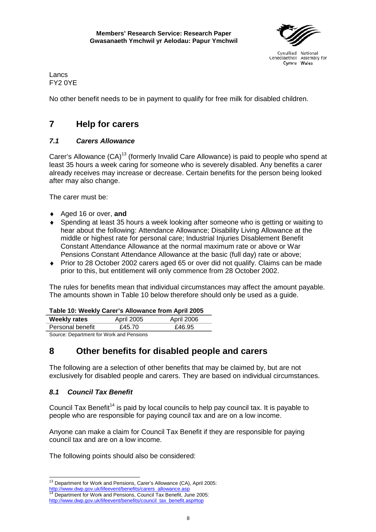

Cenedlaethol Assembly for Cymru Wales

Lancs FY2 0YE

No other benefit needs to be in payment to qualify for free milk for disabled children.

## <span id="page-15-0"></span>**7 Help for carers**

#### <span id="page-15-1"></span>*7.1 Carers Allowance*

Carer's Allowance (CA)<sup>13</sup> (formerly Invalid Care Allowance) is paid to people who spend at least 35 hours a week caring for someone who is severely disabled. Any benefits a carer already receives may increase or decrease. Certain benefits for the person being looked after may also change.

The carer must be:

- ♦ Aged 16 or over, **and**
- Spending at least 35 hours a week looking after someone who is getting or waiting to hear about the following: Attendance Allowance; Disability Living Allowance at the middle or highest rate for personal care; Industrial Injuries Disablement Benefit Constant Attendance Allowance at the normal maximum rate or above or War Pensions Constant Attendance Allowance at the basic (full day) rate or above;
- ♦ Prior to 28 October 2002 carers aged 65 or over did not qualify. Claims can be made prior to this, but entitlement will only commence from 28 October 2002.

The rules for benefits mean that individual circumstances may affect the amount payable. The amounts shown in Table 10 below therefore should only be used as a guide.

| <b>Weekly rates</b>                      | April 2005 | April 2006 |  |
|------------------------------------------|------------|------------|--|
| Personal benefit                         | £45.70     | £46.95     |  |
| Course: Department for Wark and Depaigne |            |            |  |

Source: Department for Work and Pensions

## <span id="page-15-2"></span>**8 Other benefits for disabled people and carers**

The following are a selection of other benefits that may be claimed by, but are not exclusively for disabled people and carers. They are based on individual circumstances.

### <span id="page-15-3"></span>*8.1 Council Tax Benefit*

Council Tax Benefit<sup>14</sup> is paid by local councils to help pay council tax. It is payable to people who are responsible for paying council tax and are on a low income.

Anyone can make a claim for Council Tax Benefit if they are responsible for paying council tax and are on a low income.

The following points should also be considered:

<span id="page-15-4"></span><sup>&</sup>lt;sup>13</sup> Department for Work and Pensions, Carer's Allowance (CA), April 2005: [http://www.dwp.gov.uk/lifeevent/benefits/carers\\_allowance.asp](http://www.dwp.gov.uk/lifeevent/benefits/carers_allowance.asp) 14 Department for Work and Pensions, Council Tax Benefit, June 2005:

<span id="page-15-5"></span>[http://www.dwp.gov.uk/lifeevent/benefits/council\\_tax\\_benefit.asp#top](http://www.dwp.gov.uk/lifeevent/benefits/council_tax_benefit.asp#top)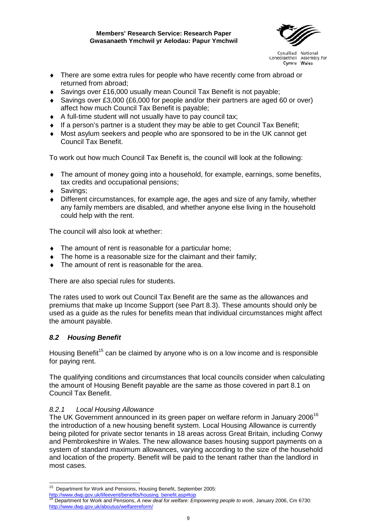

- ♦ There are some extra rules for people who have recently come from abroad or returned from abroad;
- ♦ Savings over £16,000 usually mean Council Tax Benefit is not payable;
- ♦ Savings over £3,000 (£6,000 for people and/or their partners are aged 60 or over) affect how much Council Tax Benefit is payable;
- ♦ A full-time student will not usually have to pay council tax;
- ♦ If a person's partner is a student they may be able to get Council Tax Benefit;
- ♦ Most asylum seekers and people who are sponsored to be in the UK cannot get Council Tax Benefit.

To work out how much Council Tax Benefit is, the council will look at the following:

- The amount of money going into a household, for example, earnings, some benefits, tax credits and occupational pensions;
- ◆ Savings:
- $\bullet$  Different circumstances, for example age, the ages and size of any family, whether any family members are disabled, and whether anyone else living in the household could help with the rent.

The council will also look at whether:

- ♦ The amount of rent is reasonable for a particular home;
- The home is a reasonable size for the claimant and their family;
- The amount of rent is reasonable for the area.

There are also special rules for students.

The rates used to work out Council Tax Benefit are the same as the allowances and premiums that make up Income Support (see Part 8.3). These amounts should only be used as a guide as the rules for benefits mean that individual circumstances might affect the amount payable.

#### <span id="page-16-0"></span>*8.2 Housing Benefit*

Housing Benefit<sup>15</sup> can be claimed by anyone who is on a low income and is responsible for paying rent.

The qualifying conditions and circumstances that local councils consider when calculating the amount of Housing Benefit payable are the same as those covered in part 8.1 on Council Tax Benefit.

#### *8.2.1 Local Housing Allowance*

The UK Government announced in its green paper on welfare reform in January 2006<sup>[16](#page-16-2)</sup> the introduction of a new housing benefit system. Local Housing Allowance is currently being piloted for private sector tenants in 18 areas across Great Britain, including Conwy and Pembrokeshire in Wales. The new allowance bases housing support payments on a system of standard maximum allowances, varying according to the size of the household and location of the property. Benefit will be paid to the tenant rather than the landlord in most cases.

<span id="page-16-1"></span> $15$  Department for Work and Pensions, Housing Benefit, September 2005:

<span id="page-16-2"></span>

[http://www.dwp.gov.uk/lifeevent/benefits/housing\\_benefit.asp#top](http://www.dwp.gov.uk/lifeevent/benefits/housing_benefit.asp#top) <sup>16</sup> Department for Work and Pensions, *A new deal for welfare: Empowering people to work*, January 2006, Cm 6730: <http://www.dwp.gov.uk/aboutus/welfarereform/>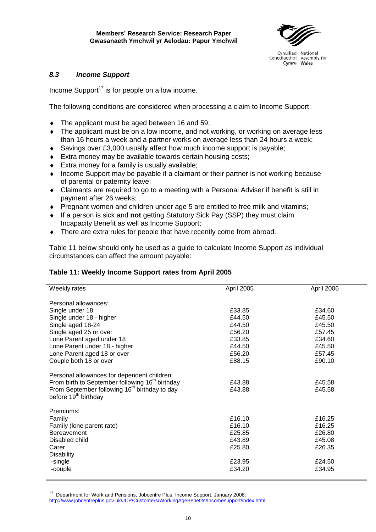

#### <span id="page-17-0"></span>*8.3 Income Support*

Income Support<sup>17</sup> is for people on a low income.

The following conditions are considered when processing a claim to Income Support:

- The applicant must be aged between 16 and 59;
- The applicant must be on a low income, and not working, or working on average less than 16 hours a week and a partner works on average less than 24 hours a week;
- ♦ Savings over £3,000 usually affect how much income support is payable;
- ♦ Extra money may be available towards certain housing costs;
- $\triangleleft$  Extra money for a family is usually available;
- ♦ Income Support may be payable if a claimant or their partner is not working because of parental or paternity leave;
- ♦ Claimants are required to go to a meeting with a Personal Adviser if benefit is still in payment after 26 weeks;
- ♦ Pregnant women and children under age 5 are entitled to free milk and vitamins;
- ♦ If a person is sick and **not** getting Statutory Sick Pay (SSP) they must claim Incapacity Benefit as well as Income Support;
- There are extra rules for people that have recently come from abroad.

Table 11 below should only be used as a guide to calculate Income Support as individual circumstances can affect the amount payable:

#### **Table 11: Weekly Income Support rates from April 2005**

| Weekly rates                                                                                                                                                                                                | April 2005       | April 2006       |
|-------------------------------------------------------------------------------------------------------------------------------------------------------------------------------------------------------------|------------------|------------------|
|                                                                                                                                                                                                             |                  |                  |
| Personal allowances:                                                                                                                                                                                        |                  |                  |
| Single under 18                                                                                                                                                                                             | £33.85           | £34.60           |
| Single under 18 - higher                                                                                                                                                                                    | £44.50           | £45.50           |
| Single aged 18-24                                                                                                                                                                                           | £44.50           | £45.50           |
| Single aged 25 or over                                                                                                                                                                                      | £56.20           | £57.45           |
| Lone Parent aged under 18                                                                                                                                                                                   | £33.85           | £34.60           |
| Lone Parent under 18 - higher                                                                                                                                                                               | £44.50           | £45.50           |
| Lone Parent aged 18 or over                                                                                                                                                                                 | £56.20           | £57.45           |
| Couple both 18 or over                                                                                                                                                                                      | £88.15           | £90.10           |
| Personal allowances for dependent children:<br>From birth to September following 16 <sup>th</sup> birthday<br>From September following 16 <sup>th</sup> birthday to day<br>before 19 <sup>th</sup> birthday | £43.88<br>£43.88 | £45.58<br>£45.58 |
| Premiums:                                                                                                                                                                                                   |                  |                  |
| Family                                                                                                                                                                                                      | £16.10           | £16.25           |
| Family (lone parent rate)                                                                                                                                                                                   | £16.10           | £16.25           |
| <b>Bereavement</b>                                                                                                                                                                                          | £25.85           | £26.80           |
| Disabled child                                                                                                                                                                                              | £43.89           | £45.08           |
| Carer                                                                                                                                                                                                       | £25.80           | £26.35           |
| <b>Disability</b>                                                                                                                                                                                           |                  |                  |
| -single                                                                                                                                                                                                     | £23.95           | £24.50           |
| -couple                                                                                                                                                                                                     | £34.20           | £34.95           |
|                                                                                                                                                                                                             |                  |                  |

<span id="page-17-1"></span><sup>17</sup> 17 Department for Work and Pensions, Jobcentre Plus, Income Support, January 2006: <http://www.jobcentreplus.gov.uk/JCP/Customers/WorkingAgeBenefits/Incomesupport/index.html>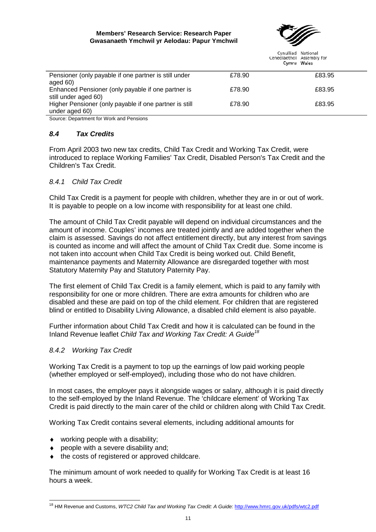#### **Members' Research Service: Research Paper Gwasanaeth Ymchwil yr Aelodau: Papur Ymchwil**



Cynulliad National Cenedlaethol Assembly for

|                                                        |        | Cylling Wales |
|--------------------------------------------------------|--------|---------------|
| Pensioner (only payable if one partner is still under  | £78.90 | £83.95        |
| aged $60$ )                                            |        |               |
| Enhanced Pensioner (only payable if one partner is     | £78.90 | £83.95        |
| still under aged 60)                                   |        |               |
| Higher Pensioner (only payable if one partner is still | £78.90 | £83.95        |
| under aged 60)                                         |        |               |
|                                                        |        |               |

Source: Department for Work and Pensions

#### <span id="page-18-0"></span>*8.4 Tax Credits*

From April 2003 two new tax credits, Child Tax Credit and Working Tax Credit, were introduced to replace Working Families' Tax Credit, Disabled Person's Tax Credit and the Children's Tax Credit.

#### <span id="page-18-1"></span>*8.4.1 Child Tax Credit*

Child Tax Credit is a payment for people with children, whether they are in or out of work. It is payable to people on a low income with responsibility for at least one child.

The amount of Child Tax Credit payable will depend on individual circumstances and the amount of income. Couples' incomes are treated jointly and are added together when the claim is assessed. Savings do not affect entitlement directly, but any interest from savings is counted as income and will affect the amount of Child Tax Credit due. Some income is not taken into account when Child Tax Credit is being worked out. Child Benefit, maintenance payments and Maternity Allowance are disregarded together with most Statutory Maternity Pay and Statutory Paternity Pay.

The first element of Child Tax Credit is a family element, which is paid to any family with responsibility for one or more children. There are extra amounts for children who are disabled and these are paid on top of the child element. For children that are registered blind or entitled to Disability Living Allowance, a disabled child element is also payable.

Further information about Child Tax Credit and how it is calculated can be found in the Inland Revenue leaflet *Child Tax and Working Tax Credit: A Guide[18](#page-18-3)*

#### <span id="page-18-2"></span>*8.4.2 Working Tax Credit*

Working Tax Credit is a payment to top up the earnings of low paid working people (whether employed or self-employed), including those who do not have children.

In most cases, the employer pays it alongside wages or salary, although it is paid directly to the self-employed by the Inland Revenue. The 'childcare element' of Working Tax Credit is paid directly to the main carer of the child or children along with Child Tax Credit.

Working Tax Credit contains several elements, including additional amounts for

- $\bullet$  working people with a disability:
- ♦ people with a severe disability and;
- ♦ the costs of registered or approved childcare.

The minimum amount of work needed to qualify for Working Tax Credit is at least 16 hours a week.

<span id="page-18-3"></span> <sup>18</sup> HM Revenue and Customs, *WTC2 Child Tax and Working Tax Credit: A Guide:* <http://www.hmrc.gov.uk/pdfs/wtc2.pdf>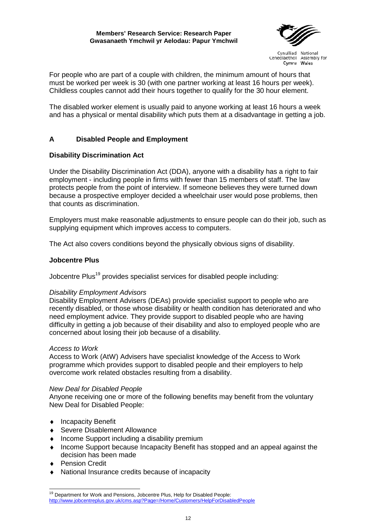#### **Members' Research Service: Research Paper Gwasanaeth Ymchwil yr Aelodau: Papur Ymchwil**



Cynulliad National Cenedlaethol Assembly for Cymru Wales

For people who are part of a couple with children, the minimum amount of hours that must be worked per week is 30 (with one partner working at least 16 hours per week). Childless couples cannot add their hours together to qualify for the 30 hour element.

The disabled worker element is usually paid to anyone working at least 16 hours a week and has a physical or mental disability which puts them at a disadvantage in getting a job.

#### **A Disabled People and Employment**

#### **Disability Discrimination Act**

Under the Disability Discrimination Act (DDA), anyone with a disability has a right to fair employment - including people in firms with fewer than 15 members of staff. The law protects people from the point of interview. If someone believes they were turned down because a prospective employer decided a wheelchair user would pose problems, then that counts as discrimination.

Employers must make reasonable adjustments to ensure people can do their job, such as supplying equipment which improves access to computers.

The Act also covers conditions beyond the physically obvious signs of disability.

#### **Jobcentre Plus**

Jobcentre Plus<sup>19</sup> provides specialist services for disabled people including:

#### *Disability Employment Advisors*

Disability Employment Advisers (DEAs) provide specialist support to people who are recently disabled, or those whose disability or health condition has deteriorated and who need employment advice. They provide support to disabled people who are having difficulty in getting a job because of their disability and also to employed people who are concerned about losing their job because of a disability.

#### <span id="page-19-0"></span>*Access to Work*

Access to Work (AtW) Advisers have specialist knowledge of the Access to Work programme which provides support to disabled people and their employers to help overcome work related obstacles resulting from a disability.

#### <span id="page-19-1"></span>*New Deal for Disabled People*

Anyone receiving one or more of the following benefits may benefit from the voluntary New Deal for Disabled People:

- ♦ Incapacity Benefit
- ♦ Severe Disablement Allowance
- ♦ Income Support including a disability premium
- ♦ Income Support because Incapacity Benefit has stopped and an appeal against the decision has been made
- ♦ Pension Credit
- National Insurance credits because of incapacity

 <sup>19</sup> Department for Work and Pensions, Jobcentre Plus, Help for Disabled People: <http://www.jobcentreplus.gov.uk/cms.asp?Page=/Home/Customers/HelpForDisabledPeople>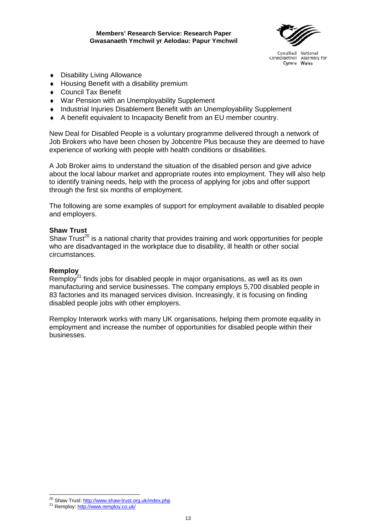

- ♦ Disability Living Allowance
- ♦ Housing Benefit with a disability premium
- ♦ Council Tax Benefit
- ♦ War Pension with an Unemployability Supplement
- Industrial Injuries Disablement Benefit with an Unemployability Supplement
- A benefit equivalent to Incapacity Benefit from an EU member country.

New Deal for Disabled People is a voluntary programme delivered through a network of Job Brokers who have been chosen by Jobcentre Plus because they are deemed to have experience of working with people with health conditions or disabilities.

A Job Broker aims to understand the situation of the disabled person and give advice about the local labour market and appropriate routes into employment. They will also help to identify training needs, help with the process of applying for jobs and offer support through the first six months of employment.

The following are some examples of support for employment available to disabled people and employers.

#### **Shaw Trus[t](#page-20-0)**

Shaw Trust<sup>20</sup> is a national charity that provides training and work opportunities for people who are disadvantaged in the workplace due to disability, ill health or other social circumstances.

#### **Remplo[y](#page-20-1)**

Remploy<sup>21</sup> finds jobs for disabled people in major organisations, as well as its own manufacturing and service businesses. The company employs 5,700 disabled people in 83 factories and its managed services division. Increasingly, it is focusing on finding disabled people jobs with other employers.

Remploy Interwork works with many UK organisations, helping them promote equality in employment and increase the number of opportunities for disabled people within their businesses.

 <sup>20</sup> Shaw Trust: <u><http://www.shaw-trust.org.uk/index.php></u><br><sup>21</sup> Remploy: <u><http://www.remploy.co.uk/></u>

<span id="page-20-1"></span><span id="page-20-0"></span>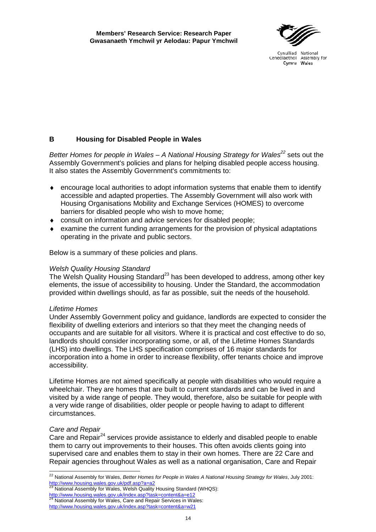#### **B Housing for Disabled People in Wales**

*Better Homes for people in Wales – A National Housing Strategy for Wales<sup>22</sup>* sets out the Assembly Government's policies and plans for helping disabled people access housing. It also states the Assembly Government's commitments to:

- ♦ encourage local authorities to adopt information systems that enable them to identify accessible and adapted properties. The Assembly Government will also work with Housing Organisations Mobility and Exchange Services (HOMES) to overcome barriers for disabled people who wish to move home;
- ♦ consult on information and advice services for disabled people;
- examine the current funding arrangements for the provision of physical adaptations operating in the private and public sectors.

<span id="page-21-0"></span>Below is a summary of these policies and plans.

#### *Welsh Quality Housing Standard*

The Welsh Quality Housing Standard<sup>23</sup> has been developed to address, among other key elements, the issue of accessibility to housing. Under the Standard, the accommodation provided within dwellings should, as far as possible, suit the needs of the household.

#### *Lifetime Homes*

Under Assembly Government policy and guidance, landlords are expected to consider the flexibility of dwelling exteriors and interiors so that they meet the changing needs of occupants and are suitable for all visitors. Where it is practical and cost effective to do so, landlords should consider incorporating some, or all, of the Lifetime Homes Standards (LHS) into dwellings. The LHS specification comprises of 16 major standards for incorporation into a home in order to increase flexibility, offer tenants choice and improve accessibility.

Lifetime Homes are not aimed specifically at people with disabilities who would require a wheelchair. They are homes that are built to current standards and can be lived in and visited by a wide range of people. They would, therefore, also be suitable for people with a very wide range of disabilities, older people or people having to adapt to different circumstances.

#### *Care and Repair*

Care and Repair $^{24}$  services provide assistance to elderly and disabled people to enable them to carry out improvements to their houses. This often avoids clients going into supervised care and enables them to stay in their own homes. There are 22 Care and Repair agencies throughout Wales as well as a national organisation, Care and Repair

<sup>22</sup> National Assembly for Wales, *Better Homes for People in Wales A National Housing Strategy for Wales*, July 2001: <http://www.housing.wales.gov.uk/pdf.asp?a=a2><br><sup>23</sup> National Assembly for Wales, Welsh Quality Housing Standard (WHQS):

<http://www.housing.wales.gov.uk/index.asp?task=content&a=e12><br><sup>24</sup> National Assembly for Wales, Care and Repair Services in Wales:

<http://www.housing.wales.gov.uk/index.asp?task=content&a=w21>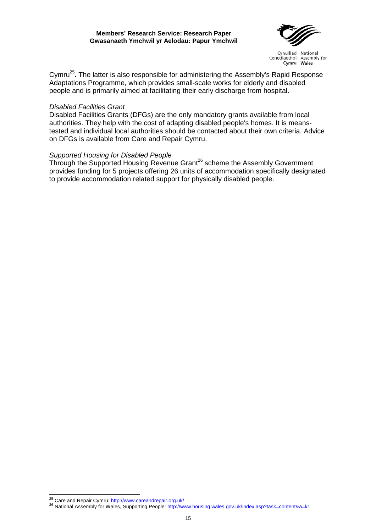

Cymru<sup>25</sup>. The latter is also responsible for administering the Assembly's Rapid Response Adaptations Programme, which provides small-scale works for elderly and disabled people and is primarily aimed at facilitating their early discharge from hospital.

#### *Disabled Facilities Grant*

Disabled Facilities Grants (DFGs) are the only mandatory grants available from local authorities. They help with the cost of adapting disabled people's homes. It is meanstested and individual local authorities should be contacted about their own criteria. Advice on DFGs is available from Care and Repair Cymru.

#### *Supported Housing for Disabled People*

Through the Supported Housing Revenue Grant<sup>26</sup> scheme the Assembly Government provides funding for 5 projects offering 26 units of accommodation specifically designated to provide accommodation related support for physically disabled people.

<span id="page-22-0"></span><sup>&</sup>lt;sup>25</sup> Care and Repair Cymru: http://www.careandrepair.org.uk/

<span id="page-22-1"></span><sup>26</sup> National Assembly for Wales, Supporting People: <http://www.housing.wales.gov.uk/index.asp?task=content&a=k1>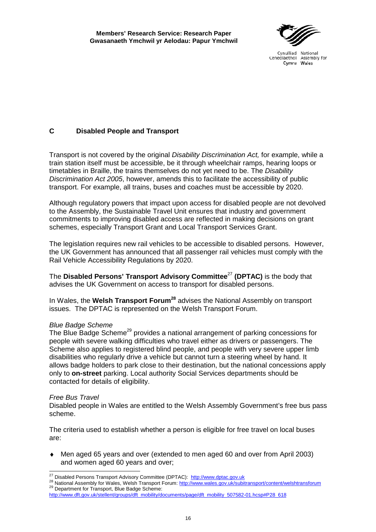#### **C Disabled People and Transport**

Transport is not covered by the original *Disability Discrimination Act,* for example, while a train station itself must be accessible, be it through wheelchair ramps, hearing loops or timetables in Braille, the trains themselves do not yet need to be. The *Disability Discrimination Act 2005*, however, amends this to facilitate the accessibility of public transport. For example, all trains, buses and coaches must be accessible by 2020.

Although regulatory powers that impact upon access for disabled people are not devolved to the Assembly, the Sustainable Travel Unit ensures that industry and government commitments to improving disabled access are reflected in making decisions on grant schemes, especially Transport Grant and Local Transport Services Grant.

The legislation requires new rail vehicles to be accessible to disabled persons. However, the UK Government has announced that all passenger rail vehicles must comply with the Rail Vehicle Accessibility Regulations by 2020.

The **Disabled Persons' Transport Advisory Committee**[27](#page-23-0) **(DPTAC)** is the body that advises the UK Government on access to transport for disabled persons.

In Wales, the **Welsh Transport Forum[28](#page-23-1)** advises the National Assembly on transport issues. The DPTAC is represented on the Welsh Transport Forum.

#### *Blue Badge Scheme*

The Blue Badge Scheme<sup>29</sup> provides a national arrangement of parking concessions for people with severe walking difficulties who travel either as drivers or passengers. The Scheme also applies to registered blind people, and people with very severe upper limb disabilities who regularly drive a vehicle but cannot turn a steering wheel by hand. It allows badge holders to park close to their destination, but the national concessions apply only to **on-street** parking. Local authority Social Services departments should be contacted for details of eligibility.

#### *Free Bus Travel*

Disabled people in Wales are entitled to the Welsh Assembly Government's free bus pass scheme.

The criteria used to establish whether a person is eligible for free travel on local buses are:

♦ Men aged 65 years and over (extended to men aged 60 and over from April 2003) and women aged 60 years and over;

<span id="page-23-0"></span><sup>&</sup>lt;sup>27</sup> Disabled Persons Transport Advisory Committee (DPTAC): http://www.dptac.gov.uk

<span id="page-23-1"></span><sup>28</sup> National Assembly for Wales, Welsh Transport Forum: <http://www.wales.gov.uk/subitransport/content/welshtransforum><br>29 Department for Transport, Blue Badge Scheme:

<span id="page-23-2"></span>[http://www.dft.gov.uk/stellent/groups/dft\\_mobility/documents/page/dft\\_mobility\\_507582-01.hcsp#P28\\_618](http://www.dft.gov.uk/stellent/groups/dft_mobility/documents/page/dft_mobility_507582-01.hcsp#P28_618)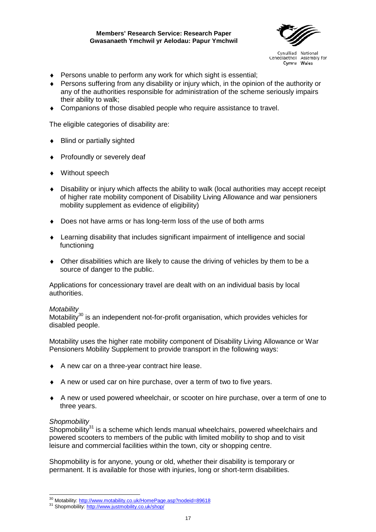

- ♦ Persons unable to perform any work for which sight is essential;
- ♦ Persons suffering from any disability or injury which, in the opinion of the authority or any of the authorities responsible for administration of the scheme seriously impairs their ability to walk;
- ♦ Companions of those disabled people who require assistance to travel.

The eligible categories of disability are:

- ♦ Blind or partially sighted
- ♦ Profoundly or severely deaf
- ♦ Without speech
- ♦ Disability or injury which affects the ability to walk (local authorities may accept receipt of higher rate mobility component of Disability Living Allowance and war pensioners mobility supplement as evidence of eligibility)
- ♦ Does not have arms or has long-term loss of the use of both arms
- ♦ Learning disability that includes significant impairment of intelligence and social functioning
- $\bullet$  Other disabilities which are likely to cause the driving of vehicles by them to be a source of danger to the public.

Applications for concessionary travel are dealt with on an individual basis by local authorities.

#### *Motability*

Motability<sup>30</sup> is an independent not-for-profit organisation, which provides vehicles for disabled people.

Motability uses the higher rate mobility component of Disability Living Allowance or War Pensioners Mobility Supplement to provide transport in the following ways:

- ♦ A new car on a three-year contract hire lease.
- ♦ A new or used car on hire purchase, over a term of two to five years.
- ♦ A new or used powered wheelchair, or scooter on hire purchase, over a term of one to three years.

#### *Shopmobility*

Shopmobility $31$  is a scheme which lends manual wheelchairs, powered wheelchairs and powered scooters to members of the public with limited mobility to shop and to visit leisure and commercial facilities within the town, city or shopping centre.

Shopmobility is for anyone, young or old, whether their disability is temporary or permanent. It is available for those with injuries, long or short-term disabilities.

<span id="page-24-0"></span> <sup>30</sup> Motability: <u><http://www.motability.co.uk/HomePage.asp?nodeid=89618></u><br><sup>31</sup> Shopmobility: <u>http://www.justmobility.co.uk/shop/</u>

<span id="page-24-1"></span>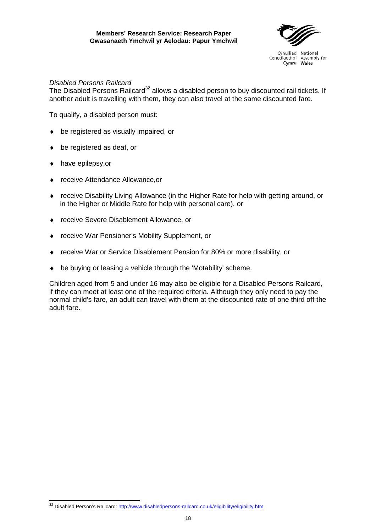

#### *Disabled Persons Railcard*

The Disabled Persons Railcard<sup>32</sup> allows a disabled person to buy discounted rail tickets. If another adult is travelling with them, they can also travel at the same discounted fare.

To qualify, a disabled person must:

- ♦ be registered as visually impaired, or
- ♦ be registered as deaf, or
- ♦ have epilepsy,or

 $\overline{a}$ 

- ♦ receive Attendance Allowance,or
- ♦ receive Disability Living Allowance (in the Higher Rate for help with getting around, or in the Higher or Middle Rate for help with personal care), or
- ♦ receive Severe Disablement Allowance, or
- ♦ receive War Pensioner's Mobility Supplement, or
- ♦ receive War or Service Disablement Pension for 80% or more disability, or
- ♦ be buying or leasing a vehicle through the 'Motability' scheme.

Children aged from 5 and under 16 may also be eligible for a Disabled Persons Railcard, if they can meet at least one of the required criteria. Although they only need to pay the normal child's fare, an adult can travel with them at the discounted rate of one third off the adult fare.

<span id="page-25-0"></span><sup>&</sup>lt;sup>32</sup> Disabled Person's Railcard: <http://www.disabledpersons-railcard.co.uk/eligibility/eligibility.htm>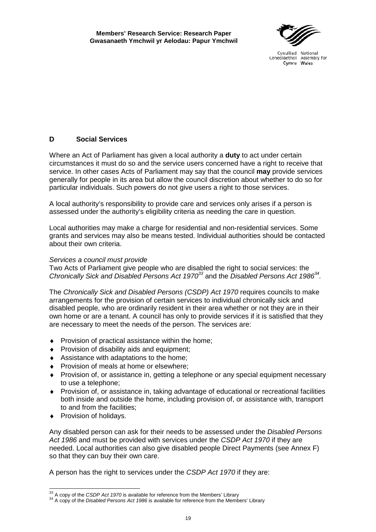#### **D Social Services**

Where an Act of Parliament has given a local authority a **duty** to act under certain circumstances it must do so and the service users concerned have a right to receive that service. In other cases Acts of Parliament may say that the council **may** provide services generally for people in its area but allow the council discretion about whether to do so for particular individuals. Such powers do not give users a right to those services.

A local authority's responsibility to provide care and services only arises if a person is assessed under the authority's eligibility criteria as needing the care in question.

Local authorities may make a charge for residential and non-residential services. Some grants and services may also be means tested. Individual authorities should be contacted about their own criteria.

#### *Services a council must provide*

Two Acts of Parliament give people who are disabled the right to social services: the *Chronically Sick and Disabled Persons Act 1970[33](#page-26-0)* and the *Disabled Persons Act 1986[34.](#page-26-1)*

The *Chronically Sick and Disabled Persons (CSDP) Act 1970* requires councils to make arrangements for the provision of certain services to individual chronically sick and disabled people, who are ordinarily resident in their area whether or not they are in their own home or are a tenant. A council has only to provide services if it is satisfied that they are necessary to meet the needs of the person. The services are:

- ♦ Provision of practical assistance within the home;
- ◆ Provision of disability aids and equipment:
- ♦ Assistance with adaptations to the home;
- ♦ Provision of meals at home or elsewhere;
- ♦ Provision of, or assistance in, getting a telephone or any special equipment necessary to use a telephone;
- ♦ Provision of, or assistance in, taking advantage of educational or recreational facilities both inside and outside the home, including provision of, or assistance with, transport to and from the facilities;
- ♦ Provision of holidays.

Any disabled person can ask for their needs to be assessed under the *Disabled Persons Act 1986* and must be provided with services under the *CSDP Act 1970* if they are needed. Local authorities can also give disabled people Direct Payments (see Annex F) so that they can buy their own care.

A person has the right to services under the *CSDP Act 1970* if they are:

<span id="page-26-0"></span><sup>33</sup> A copy of the CSDP Act 1970 is available for reference from the Members' Library

<span id="page-26-1"></span><sup>&</sup>lt;sup>34</sup> A copy of the *Disabled Persons Act 1986* is available for reference from the Members' Library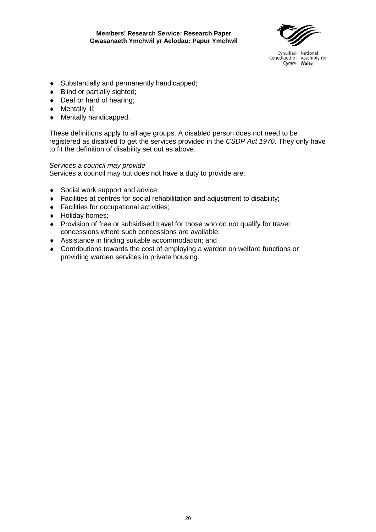- ♦ Substantially and permanently handicapped;
- ♦ Blind or partially sighted;
- ♦ Deaf or hard of hearing;
- ♦ Mentally ill;
- ♦ Mentally handicapped.

These definitions apply to all age groups. A disabled person does not need to be registered as disabled to get the services provided in the *CSDP Act 1970*. They only have to fit the definition of disability set out as above.

#### *Services a council may provide*

Services a council may but does not have a duty to provide are:

- ♦ Social work support and advice;
- ♦ Facilities at centres for social rehabilitation and adjustment to disability;
- ♦ Facilities for occupational activities;
- ♦ Holiday homes;
- ♦ Provision of free or subsidised travel for those who do not qualify for travel concessions where such concessions are available;
- ♦ Assistance in finding suitable accommodation; and
- ♦ Contributions towards the cost of employing a warden on welfare functions or providing warden services in private housing.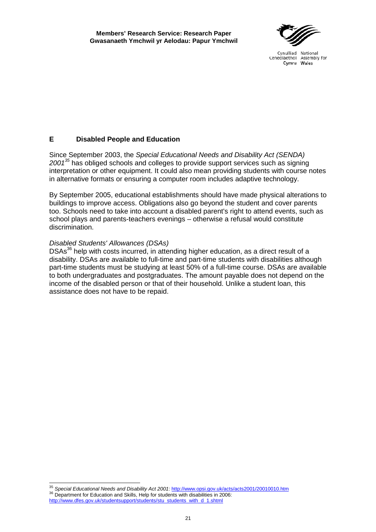#### **E Disabled People and Education**

Since September 2003, the *Special Educational Needs and Disability Act (SENDA) 2001[35](#page-28-0)* has obliged schools and colleges to provide support services such as signing interpretation or other equipment. It could also mean providing students with course notes in alternative formats or ensuring a computer room includes adaptive technology.

By September 2005, educational establishments should have made physical alterations to buildings to improve access. Obligations also go beyond the student and cover parents too. Schools need to take into account a disabled parent's right to attend events, such as school plays and parents-teachers evenings – otherwise a refusal would constitute discrimination.

#### *Disabled Students' Allowances (DSAs)*

DSAs<sup>36</sup> help with costs incurred, in attending higher education, as a direct result of a disability. DSAs are available to full-time and part-time students with disabilities although part-time students must be studying at least 50% of a full-time course. DSAs are available to both undergraduates and postgraduates. The amount payable does not depend on the income of the disabled person or that of their household. Unlike a student loan, this assistance does not have to be repaid.

<span id="page-28-1"></span><span id="page-28-0"></span><sup>&</sup>lt;sup>35</sup> S*pecial Educational Needs and Disability Act 2001*: <u>http://www.opsi.gov.uk/acts/acts2001/20010010.htm</u><br><sup>36</sup> Department for Education and Skills, Help for students with disabilities in 2006: <sup>36</sup> Department for Education and Skills, Help for students with disabilities in 2006:<br>[http://www.dfes.gov.uk/studentsupport/students/stu\\_students\\_with\\_d\\_1.shtml](http://www.dfes.gov.uk/studentsupport/students/stu_students_with_d_1.shtml)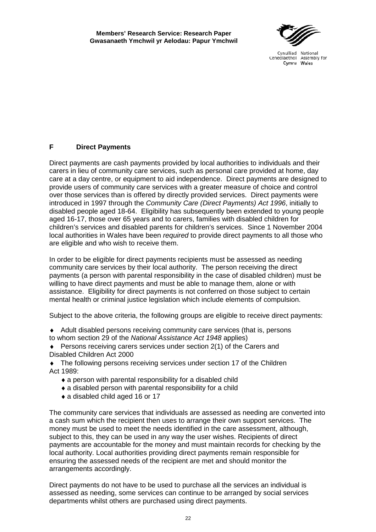#### **F Direct Payments**

Direct payments are cash payments provided by local authorities to individuals and their carers in lieu of community care services, such as personal care provided at home, day care at a day centre, or equipment to aid independence. Direct payments are designed to provide users of community care services with a greater measure of choice and control over those services than is offered by directly provided services. Direct payments were introduced in 1997 through the *Community Care (Direct Payments) Act 1996*, initially to disabled people aged 18-64. Eligibility has subsequently been extended to young people aged 16-17, those over 65 years and to carers, families with disabled children for children's services and disabled parents for children's services. Since 1 November 2004 local authorities in Wales have been *required* to provide direct payments to all those who are eligible and who wish to receive them.

In order to be eligible for direct payments recipients must be assessed as needing community care services by their local authority. The person receiving the direct payments (a person with parental responsibility in the case of disabled children) must be willing to have direct payments and must be able to manage them, alone or with assistance. Eligibility for direct payments is not conferred on those subject to certain mental health or criminal justice legislation which include elements of compulsion.

Subject to the above criteria, the following groups are eligible to receive direct payments:

- ♦ Adult disabled persons receiving community care services (that is, persons to whom section 29 of the *National Assistance Act 1948* applies)
- ♦ Persons receiving carers services under section 2(1) of the Carers and Disabled Children Act 2000

♦ The following persons receiving services under section 17 of the Children Act 1989:

- ♦ a person with parental responsibility for a disabled child
- ♦ a disabled person with parental responsibility for a child
- ♦ a disabled child aged 16 or 17

The community care services that individuals are assessed as needing are converted into a cash sum which the recipient then uses to arrange their own support services. The money must be used to meet the needs identified in the care assessment, although, subject to this, they can be used in any way the user wishes. Recipients of direct payments are accountable for the money and must maintain records for checking by the local authority. Local authorities providing direct payments remain responsible for ensuring the assessed needs of the recipient are met and should monitor the arrangements accordingly.

Direct payments do not have to be used to purchase all the services an individual is assessed as needing, some services can continue to be arranged by social services departments whilst others are purchased using direct payments.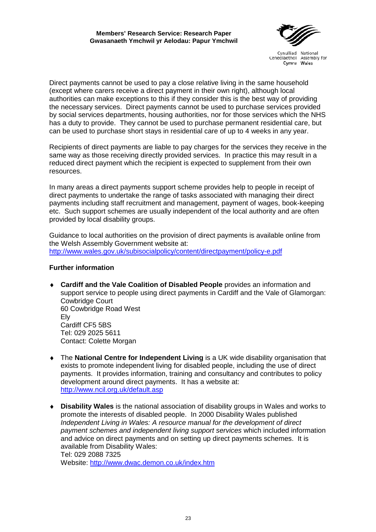

Direct payments cannot be used to pay a close relative living in the same household (except where carers receive a direct payment in their own right), although local authorities can make exceptions to this if they consider this is the best way of providing the necessary services. Direct payments cannot be used to purchase services provided by social services departments, housing authorities, nor for those services which the NHS has a duty to provide. They cannot be used to purchase permanent residential care, but can be used to purchase short stays in residential care of up to 4 weeks in any year.

Recipients of direct payments are liable to pay charges for the services they receive in the same way as those receiving directly provided services. In practice this may result in a reduced direct payment which the recipient is expected to supplement from their own resources.

In many areas a direct payments support scheme provides help to people in receipt of direct payments to undertake the range of tasks associated with managing their direct payments including staff recruitment and management, payment of wages, book-keeping etc. Such support schemes are usually independent of the local authority and are often provided by local disability groups.

Guidance to local authorities on the provision of direct payments is available online from the Welsh Assembly Government website at: <http://www.wales.gov.uk/subisocialpolicy/content/directpayment/policy-e.pdf>

#### **Further information**

- ♦ **Cardiff and the Vale Coalition of Disabled People** provides an information and support service to people using direct payments in Cardiff and the Vale of Glamorgan: Cowbridge Court 60 Cowbridge Road West Ely Cardiff CF5 5BS Tel: 029 2025 5611 Contact: Colette Morgan
- ♦ The **National Centre for Independent Living** is a UK wide disability organisation that exists to promote independent living for disabled people, including the use of direct payments. It provides information, training and consultancy and contributes to policy development around direct payments. It has a website at: <http://www.ncil.org.uk/default.asp>
- ♦ **Disability Wales** is the national association of disability groups in Wales and works to promote the interests of disabled people. In 2000 Disability Wales published *Independent Living in Wales: A resource manual for the development of direct payment schemes and independent living support services* which included information and advice on direct payments and on setting up direct payments schemes. It is available from Disability Wales: Tel: 029 2088 7325

Website:<http://www.dwac.demon.co.uk/index.htm>